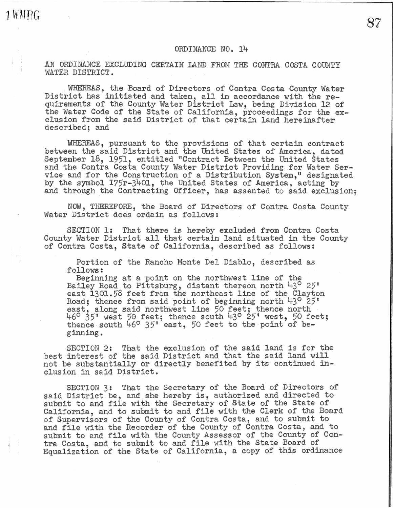AN ORDINANCE EXCLUDING CERTAIN LAND FROM THE CONTRA COSTA COUNTY WATER DISTRICT.

1 WMBG

WHEREAS, the Board of Directors of Contra Costa County Water District has initiated and taken, all in accordance with the requirements of the County **Water** District Law, being Division 12 of the Water Code of the State of California, proceedings for the exclusion from the said District of that certain land hereinafter **described;** and

**WHEBEAS,** pursuant to the provisions of that certain contract between the said District and the United States of America, dated September 18, 1951, entitled "Contract Between the United States and the Contra Costa County **Water** District Providing **for Water** Service and for the Construction of a Distribution System," designated by the symbol I75r-3401, the United States of America, acting by and through **the** Contracting Officer, has **assented** to **said** exclusion;

NOW, THEREFOP.E, the Board **of** Directors **of Contra Costa** County Water **District** does ordain as **follows:** 

SECTION 1: That there is hereby excluded from **Contra** Costa County Water District all that certain land situated in the County of Contra Costa, **State** of California, described as follows:

Portion of the Rancho **Monte** Del Diablc, described as follows:

Beginning at a point on the northwest line of the Bailey Road **to** Pittsburg, **distant** thereon north **43° 25'**  east 1301.58 feet from the northeast line **of** the **Clayton**  Road; thence from **said point** of **beginning** north **43° 25 <sup>1</sup>** east, along said northwest line 50 feet; thence north 46° j51 west 50 feet; thence **south 43° 25'** west, **50** feet; **thence south** 46° 35•·east, **50** feet to **the** point **of** beginning.

SECTION 2: That **the** exclusion **of** the said land is for **the**  best interest of the said District and that the said land will not be substantially or directly benefited by its continued inclusion in said District.

SECTION 3: That **the** Secretary **of** the Board of Directors **of said** District be, and she hereby **is,** authorized and directed to **submit to** and fiie with the Secretary of State of the **State of**  California, and to submit to and file with the Clerk of the Board of Supervisors of the County of Contra Costa, and to submit to and file with the Recorder of **the** County of Contra Costa, and to submit to and file with **the** County Assessor of the County of Contra Costa, and to submit to and file with the State Board of Equalization of the State of California, a **copy** of this **ordinance**